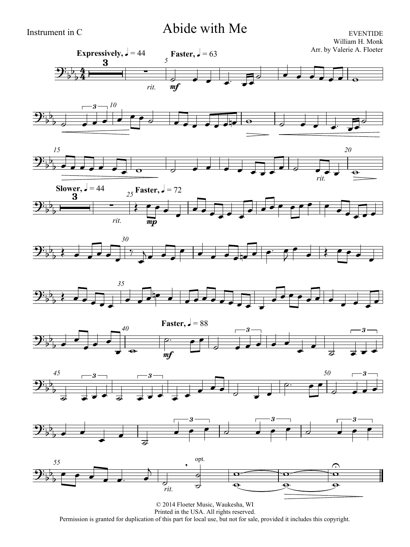### Instrument in C Abide with Me

EVENTIDE William H. Monk Arr. by Valerie A. Floeter

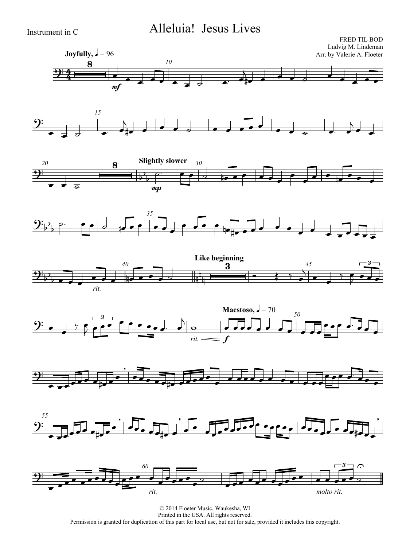### Instrument in C Alleluia! Jesus Lives

















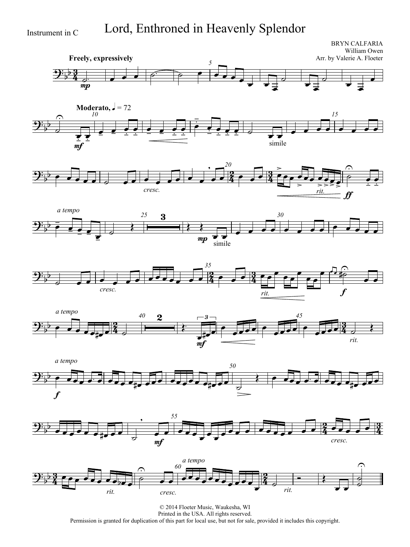## Instrument in C Lord, Enthroned in Heavenly Splendor

BRYN CALFARIA William Owen Arr. by Valerie A. Floeter

















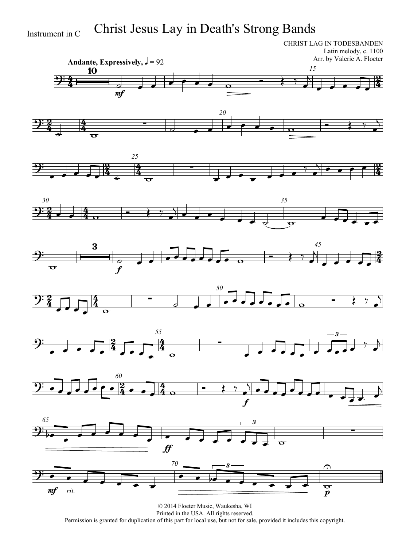# Instrument in C Christ Jesus Lay in Death's Strong Bands

CHRIST LAG IN TODESBANDEN Latin melody, c. 1100 Arr. by Valerie A. Floeter



















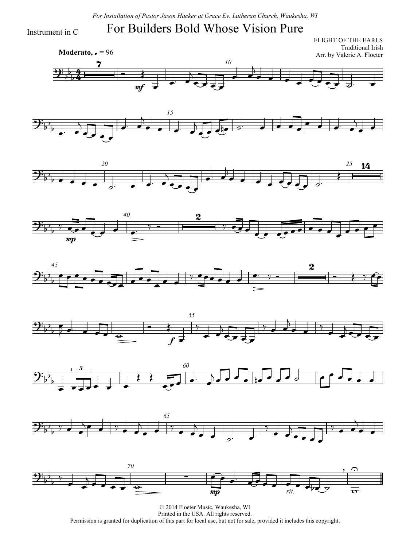### For Builders Bold Whose Vision Pure

Instrument in C

 $\frac{1}{2}$  $\frac{4}{4}$ **Moderato,**  $\sqrt{ } = 96$ FLIGHT OF THE EARLS Traditional Irish Arr. by Valerie A. Floeter *10*  $\mathbf{\mathcal{Y}}^{\mathbf{:}}_{\flat}$  $\overline{p}$  $\overline{b}$  $\begin{array}{c|c|c|c} \hline \mathbf{7} & \mathbf{1} & \mathbf{-1} \end{array}$  $m<sub>i</sub>$  $\overline{\hat{\xi}}$  $\overline{\phantom{a}}$  $\cdot$   $\cdot$  $\overline{\phantom{a}}$  $\overrightarrow{z}$  $\overline{\phantom{a}}$  $\overline{A}$  $\overrightarrow{C}$ 















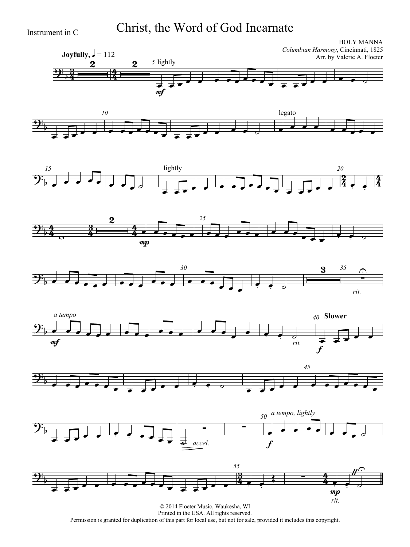### Instrument in C Christ, the Word of God Incarnate

















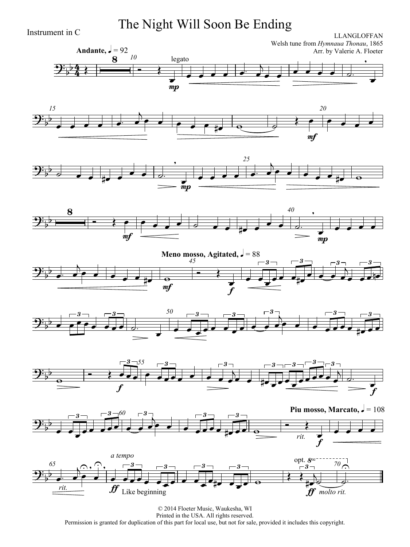Instrument in C **The Night Will Soon Be Ending**